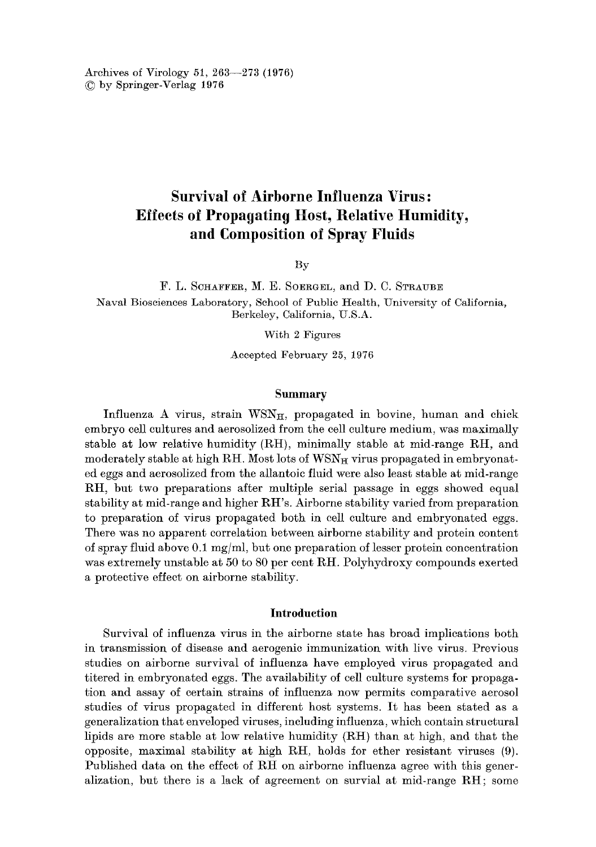Archives of Virology 51,263--273 (1976) © by Springer-Verlag 1976

# **Survival of Airborne Influenza Virus: Effects of Propagating Host, Relative Humidity, and Composition of Spray Fluids**

By

F. L. SOHAFFER, M. E. SOERGEL, and D. C. STRAUBE Naval Biosciences Laboratory, School of Public Health, University of California, Berkeley, California, U.S.A.

With 2 Figures

Accepted February 25, 1976

## **Summary**

Influenza A virus, strain  $WSN_{H}$ , propagated in bovine, human and chick embryo cell cultures and aerosolized from the cell culture medium, was maximally stable at low relative humidity  $(RH)$ , minimally stable at mid-range  $RH$ , and moderately stable at high RH. Most lots of WSN<sub>H</sub> virus propagated in embryonated eggs and aerosolized from the allantoic fluid were also least stable at mid-range RH, but two preparations after multiple serial passage in eggs showed equal stabihty at mid-range and higher RH's. Airborne stability varied from preparation to preparation of virus propagated both in cell culture and embryonated eggs. There was no apparent correlation between airborne stability and protein content of spray fluid above 0.1 mg/ml, but one preparation of lesser protein concentration was extremely unstable at 50 to 80 per cent RH. Polyhydroxy compounds exerted a protective effect on airborne stability.

# **Introduction**

Survival of influenza virus in the airborne state has broad implications both in transmission of disease and aerogenic immunization with live virus. Previous studies on airborne survival of influenza have employed virus propagated and titered in embryonated eggs. The availability of cell culture systems for propagation and assay of certain strains of influenza now permits comparative aerosol studies of virus propagated in different host systems. It has been stated as a generalization that enveloped viruses, including influenza, which contain structural lipids are more stable at low relative humidity (RH) than at high, and that the opposite, maximal stability at high RH, holds for ether resistant viruses (9). Published data on the effect of RH on airborne influenza agree with this generalization, hut there is a lack of agreement on survial at mid-range RH; some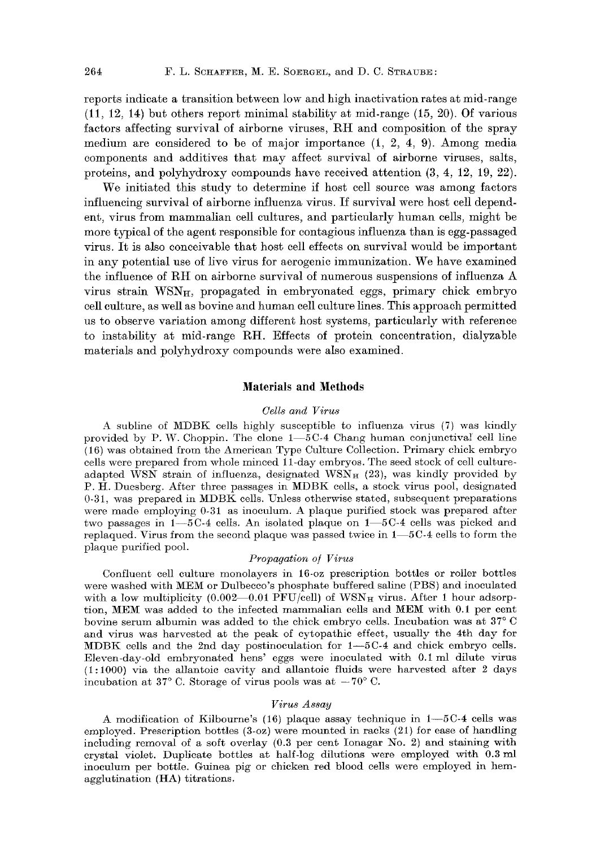reports indicate a transition between low and high inactivation rates at mid-range (11, 12, 14) but others report minimal stability at mid-range (15, 20). Of various factors affecting survival of airborne viruses, RH and composition of the spray medium are considered to be of major importance (1, 2, 4, 9). Among media components and additives that may affect survival of airborne viruses, salts, proteins, and polyhydroxy compounds have received attention (3, 4, 12, 19, 22).

We initiated this study to determine if host cell source was among factors influencing survival of airborne influenza virus. If survival were host cell dependent, virus from mammalian cell cultures, and particularly human cells, might be more typical of the agent responsible for contagious influenza than is egg-passaged virus. It is also conceivable that host cell effects on survival would be important in any potential use of live virus for aerogenic immunization. We have examined the influence of RH on airborne survival of numerous suspensions of influenza A virus strain  $WSN<sub>H</sub>$ , propagated in embryonated eggs, primary chick embryo cell culture, as well as bovine and human cell culture lines. This approach permitted us to observe variation among different host systems, particularly with reference to instability at mid-range RH. Effects of protein concentration, dialyzable materials and polyhydroxy compounds were also examined.

# **Materials and Methods**

### *Cells and Virus*

A subline of MDBK cells highly susceptible to influenza virus (7) was kindly provided by P. W. Choppin. The clone  $1-5C-4$  Chang human conjunctival cell line (16) was obtained from the American Type Culture Collection. Primary chick embryo cells were prepared from whole minced ll-day embryos. The seed stock of cell cultureadapted WSN strain of influenza, designated WSN<sub>H</sub> (23), was kindly provided by P. H. Duesberg. After three passages in MDBK cells, a stock virus pool, designated 0-31, was prepared in MDBK cells. Unless otherwise stated, subsequent preparations were made employing 0-31 as inoculum. A plaque purified stock was prepared after two passages in  $1-5C-4$  cells. An isolated plaque on  $1-5C-4$  cells was picked and replaqued. Virus from the second plaque was passed twice in  $1-5C-4$  cells to form the plaque purified pool.

### *Propagation o/ Virus*

Confluent cell culture monolayers in 16-oz prescription bottles or roller bottles were washed with MEM or Dulbecco's phosphate buffered saline (PBS) and inoculated with a low multiplicity (0.002-0.01 PFU/cell) of  $WSN_H$  virus. After 1 hour adsorption, MEM was added to the infected mammalian cells and MEM with 0.I per cent bovine serum albumin was added to the chick embryo cells. Incubation was at 37° C and virus was harvested at the peak of cytopathic effect, usually the 4th day for MDBK cells and the 2nd day postinoculation for I--5C-4 and chick embryo cells. Eleven-day-old embryonated hens' eggs were inoculated with 0.I ml dilute virus  $(1:1000)$  via the allantoic cavity and allantoic fluids were harvested after 2 days incubation at 37 $^{\circ}$  C. Storage of virus pools was at  $-70^{\circ}$  C.

### *Virus Assay*

A modification of Kilbourne's  $(16)$  plaque assay technique in  $1-5C-4$  cells was employed. Prescription bottles (3-oz) were mounted in racks (21) for ease of handling including removal of a soft overlay (0.3 per cent Ionagar No. 2) and staining with crystal violet. Duplicate bottles at half-log dilutions were employed with 0.3 ml inoculum per bottle. Guinea pig or chicken red blood cells were employed in hemagglutination (HA) titrations.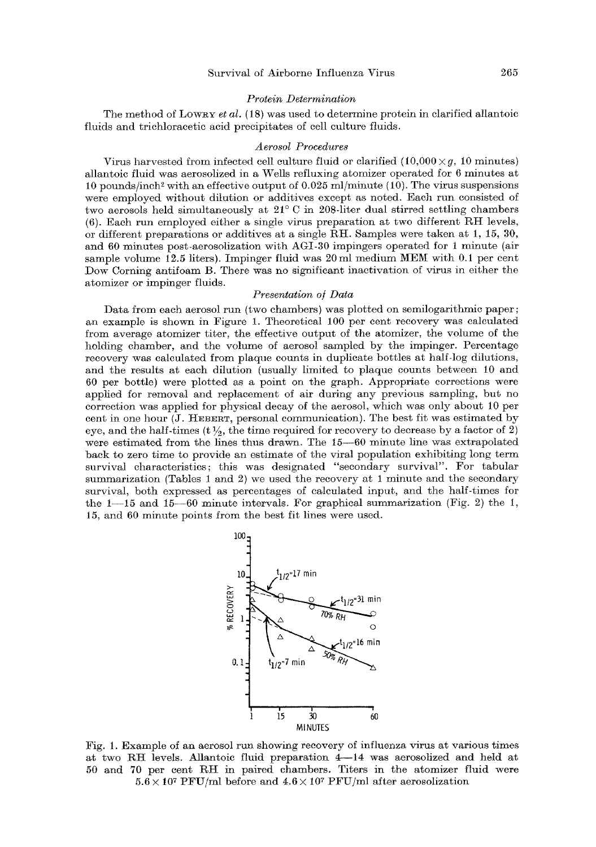#### *Protein Determination*

The method of Low<sub>RY</sub> *et al.* (18) was used to determine protein in clarified allantoic fluids and trichloraeetie acid precipitates of cell culture fluids.

#### *Aerosol Procedures*

Virus harvested from infected cell culture fluid or clarified  $(10,000 \times g, 10 \text{ minutes})$ allantoie fluid was aerosolized in a Wells refluxing atomizer operated for 6 minutes at 10 pounds/inch<sup>2</sup> with an effective output of  $0.025$  ml/minute (10). The virus suspensions were employed without dilution or additives except as noted. Each run consisted of two aerosols held simultaneously at  $21^{\circ}$  C in 208-liter dual stirred settling chambers (6). Each run employed either a single virus preparation at two different RH levels, or different preparations or additives at a single RH. Samples were taken at 1, 15, 30, and  $60$  minutes post-aerosolization with  $AGI-30$  impingers operated for 1 minute (air sample volume 12.5 liters). Impinger fluid was 20 ml medium MEM with 0.1 per cent Dew Corning antifoam B. There was no sigmifieant inactivation of virus in either the atomizer or impinger fluids.

### *Presentation oj Data*

Data from each aerosol run (two chambers) was plotted on semilogarithmic paper; an example is shown in Figure 1. Theoretical 1O0 per cent recovery was calculated from average atomizer titer, the effective output of the atomizer, the volume of the holding chamber, and the volume of aerosol sampled by the impinger. Percentage recovery was calculated from plaque counts in duplicate bottles at half-log dilutions, and the results at each dilution (usually limited to plaque counts between 10 and 60 per bottle) were plotted as a point on the graph. Appropriate corrections were applied for removal and replacement of air during any previous sampling, but no eorreetion was applied for physical decay of the aerosol, which was only about 10 per eent in one hour (J. HEBERT, personal communication). The best fit was estimated by eye, and the half-times  $(t \frac{1}{2})$ , the time required for recovery to decrease by a factor of 2) were estimated from the lines thus drawn. The 15-60 minute line was extrapolated back to zero time to provide an estimate of the viral population exhibiting long term survival characteristics; this was designated "secondary survival". For tabular summarization (Tables 1 and 2) we used the recovery at 1 minute and the secondary survival, both expressed as percentages of calculated input, and the half-times for the  $1-15$  and  $15-60$  minute intervals. For graphical summarization (Fig. 2) the 1, 15, and 60 minute points from the best fit lines were used.



Fig. 1. Example of an aerosol run showing recovery of influenza virus at various times at two RH levels. Allantoic fluid preparation  $4-14$  was aerosolized and held at 50 and 70 per cent RH in paired chambers. Titers in the atomizer fluid were  $5.6 \times 10^7$  PFU/ml before and  $4.6 \times 10^7$  PFU/ml after aerosolization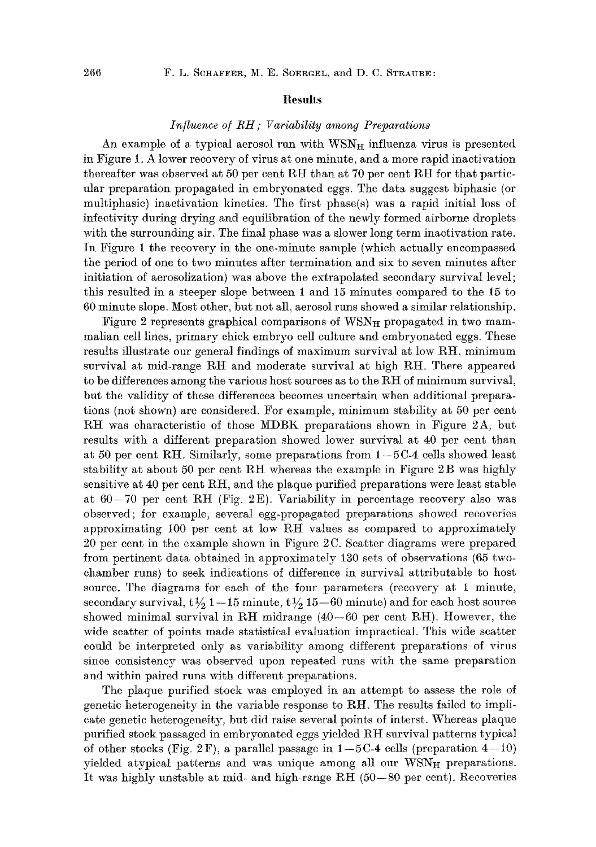# **Results**

# *Influence o/RH; Variability among Preparations*

An example of a typical aerosol run with  $WSN<sub>H</sub>$  influenza virus is presented in Figure 1. A lower recovery of virus at one minute, and a more rapid inactivation thereafter was observed at 50 per cent RH than at 70 per cent RH for that particular preparation propagated in embryonated eggs. The data suggest biphasic (or multiphasie) inactivation kinetics. The first phase(s) was a rapid initial loss of infectivity during drying and equilibration of the newly formed airborne droplets with the surrounding air. The final phase was a slower long term inactivation rate. In Figure 1 the recovery in the one-minute sample (which actually encompassed the period of one to two minutes after termination and six to seven minutes after initiation of aerosolization) was above the extrapolated secondary survival level; this resulted in a steeper slope between 1 and 15 minutes compared to the 15 to 60 minute slope. Most other, but not all, aerosol runs showed a similar relationship.

Figure 2 represents graphical comparisons of  $WSN<sub>H</sub>$  propagated in two mammalian cell lines, primary chick embryo cell culture and embryonated eggs. These results illustrate our general findings of maximum survival at low RH, minimum survival at mid-range RH and moderate survival at high RH. There appeared to be differences among the various host sources as to the RH of minimum survival, but the validity of these differences becomes uncertain when additional preparations (not shown) are considered. For example, minimum stability at 50 per cent RH was characteristic of those MDBK preparations shown in Figure 2A, but results with a different preparation showed lower survival at 40 per cent than at 50 per cent RH. Similarly, some preparations from  $1-5C-4$  cells showed least stability at about 50 per cent RH whereas the example in Figure  $2B$  was highly sensitive at 40 per cent RH, and the plaque purified preparations were least stable at  $60-70$  per cent RH (Fig. 2E). Variability in percentage recovery also was observed; for example, several egg-propagated preparations showed recoveries approximating 100 per cent at low RH values as compared to approximately 20 per cent in the example shown in Figure 2 C. Scatter diagrams were prepared from pertinent data obtained in approximately 130 sets of observations (65 twochamber runs) to seek indications of difference in survival attributable to host source. The diagrams for each of the four parameters (recovery at 1 minute, secondary survival,  $t \frac{1}{2} 1-15$  minute,  $t \frac{1}{2} 15-60$  minute) and for each host source showed minimal survival in RH midrange  $(40-60$  per cent RH). However, the wide scatter of points made statistical evaluation impractical. This wide scatter could be interpreted only as variability among different preparations of virus since consistency was observed upon repeated runs with the same preparation and within paired runs with different preparations.

The plaque purified stock was employed in an attempt to assess the role of genetic heterogeneity in the variable response to RH. The results failed to implicate genetic heterogeneity, but did raise several points of interst. Whereas plaque purified stock passaged in embryonated eggs yielded RH survival patterns typical of other stocks (Fig. 2F), a parallel passage in  $1-5C-4$  cells (preparation  $4-10$ ) yielded atypical patterns and was unique among all our  $WSN<sub>H</sub>$  preparations. It was highly unstable at mid- and high-range RH (50-80 per cent). Recoveries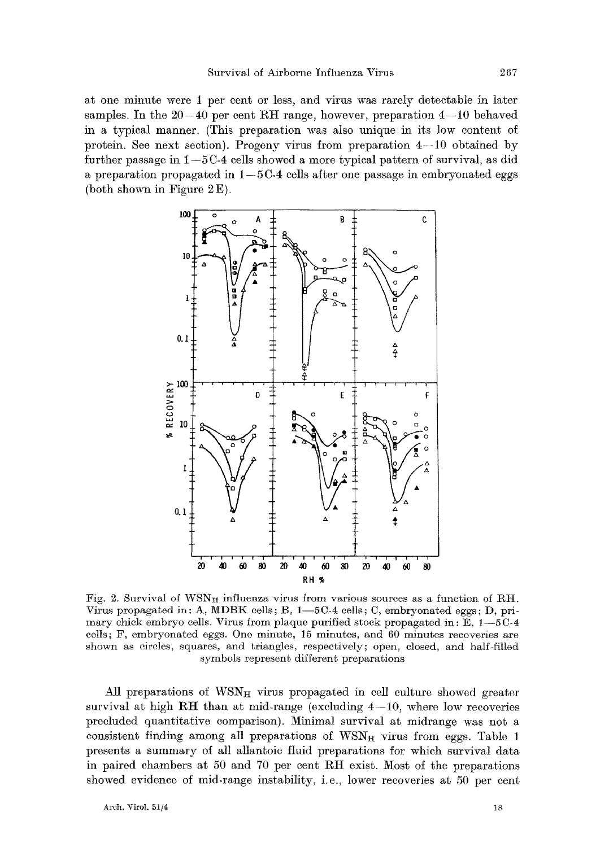at one minute were 1 per cent or less, and virus was rarely detectable in later samples. In the  $20-40$  per cent RH range, however, preparation  $4-10$  behaved in a typical manner. (This preparation was also unique in its low content of protein. See next section). Progeny virus from preparation  $4-10$  obtained by further passage in  $1-5C-4$  cells showed a more typical pattern of survival, as did a preparation propagated in  $1-5C-4$  cells after one passage in embryonated eggs (both shown in Figure  $2E$ ).



Fig. 2. Survival of  $WSN_{H}$  influenza virus from various sources as a function of RH. Virus propagated in: A, MDBK cells; B,  $1-5C-4$  cells; C, embryonated eggs; D, primary chick embryo cells. Virus from plaque purified stock propagated in: E, 1--5C-4 cells; F, embryonated eggs. One minute, 15 minutes, and 60 minutes recoveries are shown as circles, squares, and triangles, respectively; open, closed, and half-filled symbols represent different preparations

All preparations of  $WSN<sub>H</sub>$  virus propagated in cell culture showed greater survival at high RH than at mid-range (excluding  $4-10$ , where low recoveries precluded quantitative comparison). Minimal survival at midrange was not a consistent finding among all preparations of  $WSN_H$  virus from eggs. Table 1 presents a summary of all allantoie fluid preparations for which survival data in paired chambers at 50 and 70 per cent RIt exist. Most of the preparations showed evidence of mid-range instability, i.e., lower recoveries at 50 per cent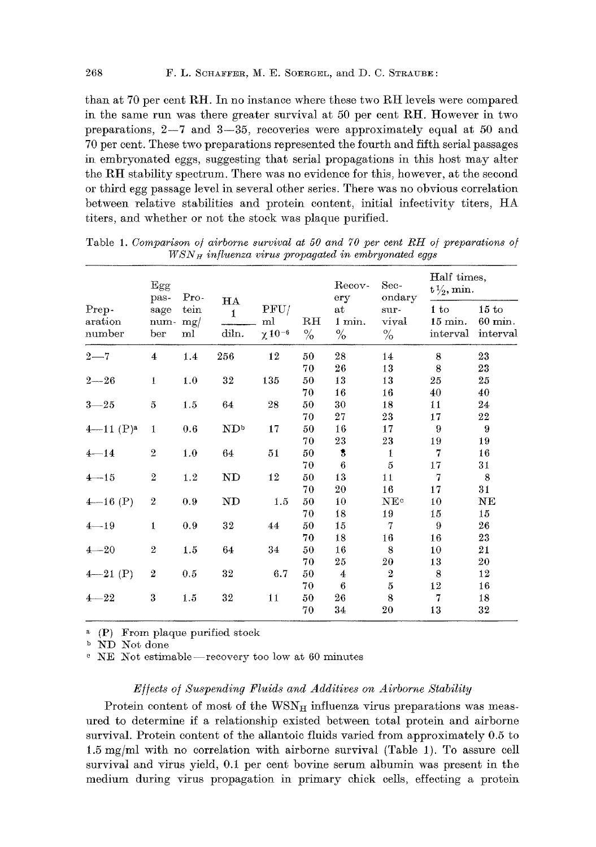than at 70 per cent RH. In no instance where these two RH levels were compared in the same run was there greater survival at 50 per cent RH. However in two preparations,  $2-7$  and  $3-35$ , recoveries were approximately equal at 50 and 70 per cent. These two preparations represented the fourth and fifth serial passages in embryonated eggs, suggesting- that serial propagations in this host may alter the RH stability spectrum. There was no evidence for this, however, at the second or third egg passage level in several other series. There was no obvious correlation between relative stabilities and protein content, initial infectivity titers, HA titers, and whether or not the stock was plaque purified.

| ondary<br>$Pro-$<br>pas-<br>ery<br>HA<br>PFU/<br>Prep-<br>tein<br>at<br>1 to<br>sage<br>sur-<br>$\mathbf{1}$<br>$1 \; \mathrm{min.}$<br>vival<br>$\mathbf{RH}$<br>ml<br>aration<br>mg/<br>num-<br>diln.<br>$x 10^{-6}$<br>$\frac{0}{0}$<br>$\%$<br>$\%$<br>number<br>ber<br>ml | 15 to<br>15 min.<br>$60$ min.<br>interval<br>interval |
|--------------------------------------------------------------------------------------------------------------------------------------------------------------------------------------------------------------------------------------------------------------------------------|-------------------------------------------------------|
|                                                                                                                                                                                                                                                                                |                                                       |
| 256<br>12<br>28<br>$2 - 7$<br>1.4<br>14<br>8<br>4<br>50                                                                                                                                                                                                                        | 23                                                    |
| 26<br>13<br>8<br>70                                                                                                                                                                                                                                                            | 23                                                    |
| 32<br>135<br>13<br>13<br>$\mathbf{1}$<br>1.0<br>50<br>$2 - 26$<br>25                                                                                                                                                                                                           | 25                                                    |
| 16<br>70<br>16<br>40                                                                                                                                                                                                                                                           | 40                                                    |
| 64<br>30<br>18<br>$\overline{5}$<br>1.5<br>28<br>50<br>$3 - 25$<br>11                                                                                                                                                                                                          | 24                                                    |
| 27<br>23<br>17<br>70                                                                                                                                                                                                                                                           | $^{22}$                                               |
| $4 - 11$ $(P)^a$<br>ND <sup>b</sup><br>16<br>0.6<br>17<br>50<br>17<br>9<br>1                                                                                                                                                                                                   | 9                                                     |
| 23<br>23<br>70<br>19                                                                                                                                                                                                                                                           | 19                                                    |
| $\,2$<br>64<br>\$<br>1.0<br>50<br>7<br>$4 - 14$<br>51<br>1                                                                                                                                                                                                                     | 16                                                    |
| 6<br>5<br>70<br>17                                                                                                                                                                                                                                                             | 31                                                    |
| 12<br>13<br>$\overline{2}$<br>ND<br>1.2<br>50<br>11<br>7<br>$4 - 15$                                                                                                                                                                                                           | 8                                                     |
| 16<br>20<br>70<br>17                                                                                                                                                                                                                                                           | 31                                                    |
| $\boldsymbol{2}$<br><b>ND</b><br>10<br>$4 - 16$ (P)<br>0.9<br>1.5<br>50<br>NE <sup>c</sup><br>10                                                                                                                                                                               | $_{\rm NE}$                                           |
| 18<br>70<br>19<br>15                                                                                                                                                                                                                                                           | 15                                                    |
| 32<br>44<br>15<br>7<br>1<br>0.9<br>50<br>9<br>$4 - 19$                                                                                                                                                                                                                         | 26                                                    |
| 18<br>70<br>16<br>16                                                                                                                                                                                                                                                           | 23                                                    |
| $\,2$<br>16<br>64<br>34<br>$4 - 20$<br>1.5<br>50<br>8<br>10                                                                                                                                                                                                                    | 21                                                    |
| 25<br>70<br>20<br>13                                                                                                                                                                                                                                                           | 20                                                    |
| $\boldsymbol{2}$<br>32<br>6.7<br>$4 - 21$ (P)<br>0.5<br>50<br>2<br>8<br>$\overline{4}$                                                                                                                                                                                         | 12                                                    |
| 70<br>6<br>$\overline{5}$<br>12                                                                                                                                                                                                                                                | 16                                                    |
| 3<br>32<br>11<br>8<br>50<br>26<br>$4 - 22$<br>1.5<br>7                                                                                                                                                                                                                         | 18                                                    |
| 34<br>13<br>70<br>20                                                                                                                                                                                                                                                           | 32                                                    |

Table 1. *Comparison of airborne survival at 50 and 70 per cent RH of preparations of WSN H influenza virus propagated in embryonated eggs* 

(P) From plaque purified stock

b ND Not done

 $e$  NE Not estimable—recovery too low at 60 minutes

### *E//ects o/Suspending Fluids and Additives on Airborne Stability*

Protein content of most of the  $WSN_H$  influenza virus preparations was measured to determine if a relationship existed between total protein and airborne survival. Protein content of the allantoic fluids varied from approximately 0.5 to 1.5 mg/ml with no correlation with airborne survival (Table 1). To assure cell survival and virus yield, 0.1 per cent bovine serum albumin was present in the medium during virus propagation in primary chick cells, effecting a protein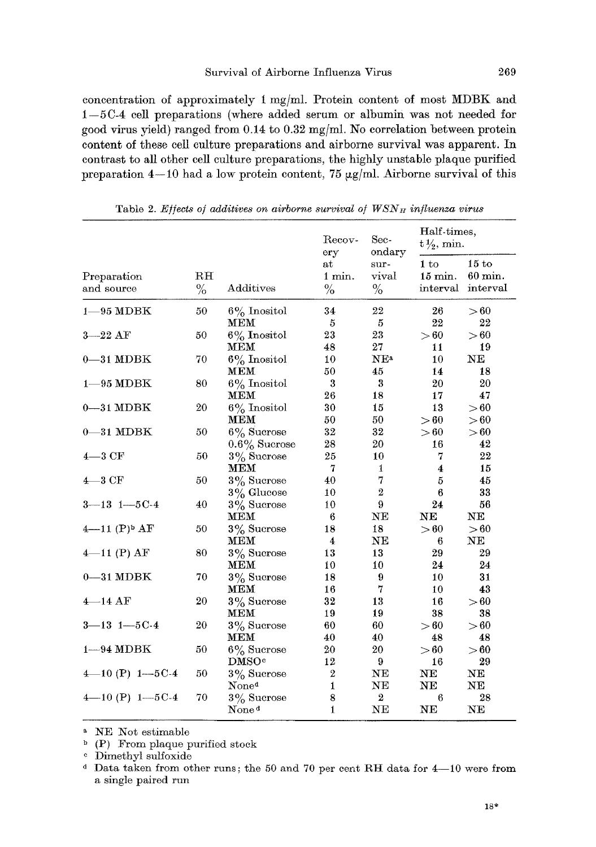concentration of approximately 1 mg/ml. Protein content of most MDBK and  $1-5C-4$  cell preparations (where added serum or albumin was not needed for good virus yield) ranged from 0.14 to 0.32 mg/ml. No correlation between protein content of these cell culture preparations and airborne survival was apparent. In contrast to all other cell culture preparations, the highly unstable plaque purified preparation  $4-10$  had a low protein content, 75  $\mu$ g/ml. Airborne survival of this

|                            | $R$ $H$<br>$\%$ |                   | Recov-<br>ery<br>at<br>1 min.<br>$\%$ | Sec-<br>$_{\rm ondary}$<br>sur-<br>vival<br>$\%$ | Half-times,<br>$t\frac{1}{2}$ , min. |                              |
|----------------------------|-----------------|-------------------|---------------------------------------|--------------------------------------------------|--------------------------------------|------------------------------|
| Preparation<br>and source  |                 | Additives         |                                       |                                                  | 1 to<br>15 min.<br>interval          | 15 to<br>60 min.<br>interval |
| $1 - 95$ MDBK              | 50              | $6\%$ Inositol    | 34                                    | 22                                               | 26                                   | > 60                         |
|                            |                 | мем               | 5                                     | 5                                                | 22                                   | 22                           |
| $3 - 22$ AF                | 50              | $6\%$ Inositol    | 23                                    | 23                                               | > 60                                 | > 60                         |
|                            |                 | мем               | 48                                    | 27                                               | 11                                   | 19                           |
| $0 - 31$ MDBK              | 70              | $6\%$ Inositol    | 10                                    | NE <sup>a</sup>                                  | 10                                   | NE                           |
|                            |                 | <b>MEM</b>        | 50                                    | 45                                               | 14                                   | 18                           |
| $1 - 95$ MDBK              | 80              | $6\%$ Inositol    | 3                                     | 3                                                | 20                                   | 20                           |
|                            |                 | MEM               | 26                                    | 18                                               | 17                                   | 47                           |
| $0 - 31$ MDBK              | 20              | $6\%$ Inositol    | 30                                    | 15                                               | 13                                   | > 60                         |
|                            |                 | <b>MEM</b>        | 50                                    | 50                                               | > 60                                 | > 60                         |
| $0 - 31$ MDBK              | 50              | $6\%$ Sucrose     | 32                                    | 32                                               | > 60                                 | >60                          |
|                            |                 | $0.6\%$ Sucrose   | 28                                    | 20                                               | 16                                   | 42                           |
| $4 - 3CF$                  | 50              | $3\%$ Sucrose     | 25                                    | 10                                               | 7                                    | 22                           |
|                            |                 | MEM               | 7                                     | 1                                                | 4                                    | 15                           |
| $4 - 3CF$                  | 50              | $3\%$ Sucrose     | 40                                    | 7                                                | 5                                    | 45                           |
|                            |                 | $3\%$ Glucose     | 10                                    | $\overline{2}$                                   | 6                                    | 33                           |
| $3 - 13$ $1 - 5C - 4$      | 40              | $3\%$ Sucrose     | 10                                    | 9                                                | 24                                   | 56                           |
|                            |                 | <b>MEM</b>        | 6                                     | NE                                               | NE                                   | NE                           |
| $4-11$ (P) <sup>b</sup> AF | 50              | $3\%$ Sucrose     | 18                                    | 18                                               | > 60                                 | > 60                         |
|                            |                 | <b>MEM</b>        | 4                                     | NE                                               | 6                                    | NE                           |
| $4-11$ (P) AF              | 80              | $3\%$ Sucrose     | 13                                    | 13                                               | 29                                   | 29                           |
|                            |                 | MEM               | 10                                    | 10                                               | 24                                   | 24                           |
| $0 - 31$ MDBK              | 70              | $3\%$ Sucrose     | 18                                    | 9                                                | 10                                   | 31                           |
|                            |                 | MEM               | 16                                    | 7                                                | 10                                   | 43                           |
| $4 - 14AF$                 | 20              | $3\%$ Sucrose     | 32                                    | 13                                               | 16                                   | > 60                         |
|                            |                 | MEM               | 19                                    | 19                                               | 38                                   | 38                           |
| $3 - 13$ $1 - 5C - 4$      | 20              | $3\%$ Sucrose     | 60                                    | 60                                               | > 60                                 | > 60                         |
|                            |                 | MEM               | 40                                    | 40                                               | 48                                   | 48                           |
| $1 - 94 \text{ MDBK}$      | 50              | $6\%$ Sucrose     | 20                                    | 20                                               | > 60                                 | > 60                         |
|                            |                 | DMSO <sup>c</sup> | 12                                    | 9                                                | 16                                   | 29                           |
| $4-10$ (P) $1-5C-4$        | 50              | $3\%$ Sucrose     | $\boldsymbol{2}$                      | NE                                               | NE                                   | NE                           |
|                            |                 | None <sup>d</sup> | $\mathbf{1}$                          | NE                                               | NE                                   | NE                           |
| $4-10(P)$ $1-5C-4$         | 70              | $3\%$ Sucrose     | 8                                     | $\overline{2}$                                   | 6                                    | 28                           |
|                            |                 | None <sup>d</sup> | $\mathbf{1}$                          | NE                                               | NE                                   | NE                           |

Table 2. *Effects of additives on airborne survival of WSN<sub>H</sub> influenza virus* 

a NE Not estimable

 $\Delta$  (P) From plaque purified stock

c Dimethyt sulfoxide

<sup>&</sup>lt;sup>d</sup> Data taken from other runs; the 50 and 70 per cent RH data for  $4-10$  were from a single paired run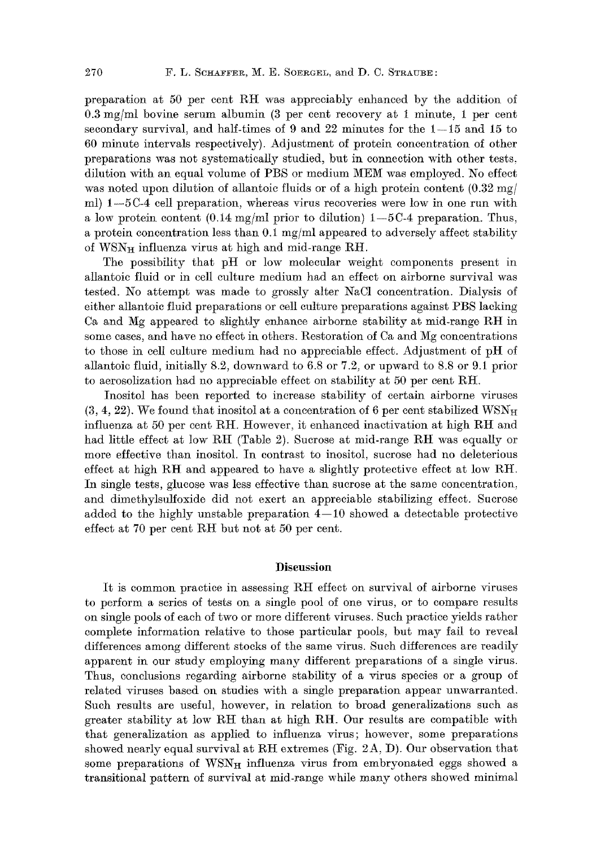preparation at 50 per cent gH was appreciably enhanced by the addition of 0.3 mg/ml bovine serum albumin (3 per cent recovery at 1 minute, I per cent secondary survival, and half-times of 9 and 22 minutes for the  $1-15$  and 15 to 60 minute intervals respectively). Adjustment of protein concentration of other preparations was not systematically studied, but in connection with other tests, dilution with an equal volume of PBS or medium MEM was employed. No effect was noted upon dilution of allantoic fluids or of a high protein content  $(0.32 \text{ mg}/)$ ml)  $1-5C-4$  cell preparation, whereas virus recoveries were low in one run with a low protein content (0.14 mg/ml prior to dilution)  $1-5C-4$  preparation. Thus, a protein concentration less than  $0.1 \text{ mg/ml}$  appeared to adversely affect stability of  $WSN<sub>H</sub>$  influenza virus at high and mid-range RH.

The possibility that pH or low molecular weight components present in allantoic fluid or in cell culture medium had an effect on airborne survival was tested. No attempt was made to grossly alter NaC1 concentration. Dialysis of either allantoie fluid preparations or celI culture preparations against PBS lacking Ca and Mg appeared to slightly enhance airborne stability at mid-range RH in some cases, and have no effect in others. Restoration of Ca and Mg concentrations to those in cell culture medium had no appreciable effect. Adjustment of pH of allantoic fluid, initially 8.2, downward to 6.8 or 7.2, or upward to 8.8 or 9.1 prior to aerosolization had no appreciable effect on stability at  $50$  per cent RH.

Inositol has been reported to increase stability of certain airborne viruses  $(3, 4, 22)$ . We found that inositol at a concentration of 6 per cent stabilized WSN<sub>H</sub> influenza at 50 per cent RH. However, it enhanced inactivation at high RH and had little effect at low RH (Table 2). Sucrose at mid-range RH was equally or more effective than inositol. In contrast to inositoI, sucrose had no deleterious effect at high RH and appeared to have a slightly protective effect at low RH. In single tests, glucose was less effective than sucrose at the same concentration, and dimethylsulfoxide did not exert an appreciable stabilizing effect. Sucrose added to the highly unstable preparation  $4-10$  showed a detectable protective effect at  $70$  per cent RH but not at  $50$  per cent.

## **Discussion**

It is common practice in assessing RH effect on survival of airborne viruses to perform a series of tests on a single pool of one virus, or to compare results on single pools of each of two or more different viruses. Such practice yields rather complete information relative to those particular pools, but may fail to reveal differences among different stocks of the same virus. Such differences are readily apparent in our study employing many different preparations of a single virus. Thus, conclusions regarding airborne stability of a virus species or a group of related viruses based on studies with a single preparation appear unwarranted. Such results are useful, however, in relation to broad generalizations such as greater stability at low RH than at high RH. Our results are compatible with that generalization as applied to influenza virus; however, some preparations showed nearly equal survival at RH extremes (Fig. 2A, D). Our observation that some preparations of  $WSN<sub>H</sub>$  influenza virus from embryonated eggs showed a transitional pattern of survival at mid-range while many others showed minimal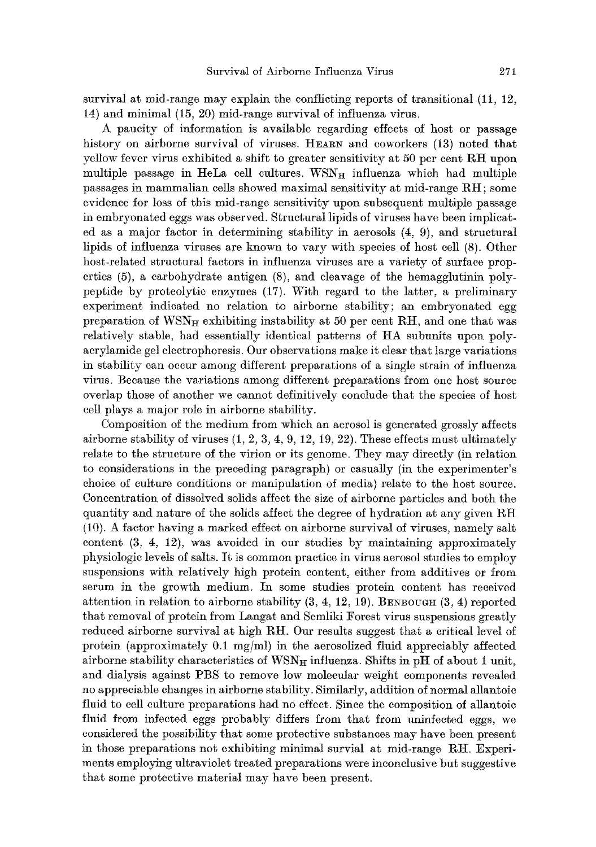survival at mid-range may explain the conflicting reports of transitional (11, 12, 14) and minimal (15, 20) mid-range survival of influenza virus.

A paucity of information is available regarding effects of host or passage history on airborne survival of viruses. HEARN and coworkers (13) noted that yellow fever virus exhibited a shift to greater sensitivity at 50 per cent RH upon multiple passage in HeLa cell cultures.  $WSN_H$  influenza which had multiple passages in mammalian cells showed maximal sensitivity at mid-range RH; some evidence for loss of this mid-range sensitivity upon subsequent multiple passage in embryonated eggs was observed. Structural lipids of viruses have been implicated as a major factor in determining stability in aerosols (4, 9), and structural lipids of influenza viruses are known to vary with species of host cell (8). Other host-related structural factors in influenza viruses are a variety of surface properties (5), a carbohydrate antigen (8), and cleavage of the hemagglutinin polypeptide by proteolytie enzymes (17). With regard to the latter, a preliminary experiment indicated no relation to airborne stability; an embryonated egg preparation of  $WSN_H$  exhibiting instability at 50 per cent RH, and one that was relatively stable, had essentially identical patterns of HA subunits upon polyaerylamide gel electrophoresis. Our observations make it clear that large variations in stability can occur among different preparations of a single strain of influenza virus. Because the variations among different preparations from one host source overlap those of another we cannot definitively conclude that the species of host cell plays a major role in airborne stability.

Composition of the medium from which an aerosol is generated grossly affects airborne stability of viruses  $(1, 2, 3, 4, 9, 12, 19, 22)$ . These effects must ultimately relate to the structure of the virion or its genome. They may directly (in relation to considerations in the preceding paragraph) or casually (in the experimenter's choice of culture conditions or manipulation of media) relate to the host source. Concentration of dissolved solids affect the size of airborne particles and both the quantity and nature of the solids affect the degree of hydration at any given  $R$ H (10). A factor having a marked effect on airborne survival of viruses, namely salt content  $(3, 4, 12)$ , was avoided in our studies by maintaining approximately physiologic levels of salts. It is common practice in virus aerosol studies to employ suspensions with relatively high protein content, either from additives or from serum in the growth medium. In some studies protein eontent has received attention in relation to airborne stability  $(3, 4, 12, 19)$ . BENBOUGH  $(3, 4)$  reported that removal of protein from Langat and Semliki Forest virus suspensions greatly reduced airborne survival at high RH. Our results suggest that a critical level of protein (approximately  $0.1 \text{ mg/ml}$ ) in the aerosolized fluid appreciably affected airborne stability characteristics of  $WSN_H$  influenza. Shifts in pH of about 1 unit, and dialysis against PBS to remove low molecular weight components revealed no appreciable changes in airborne stability. Similarly, addition of normal allantoic fluid to cell culture preparations had no effect. Since the composition of allantoic fluid from infected eggs probably differs from that from uninfected eggs, we considered the possibility that some protective substances may have been present in those preparations not exhibiting minimal survial at mid-range RH. Experiments employing ultraviolet treated preparations were inconclusive but suggestive that some protective material may have been present.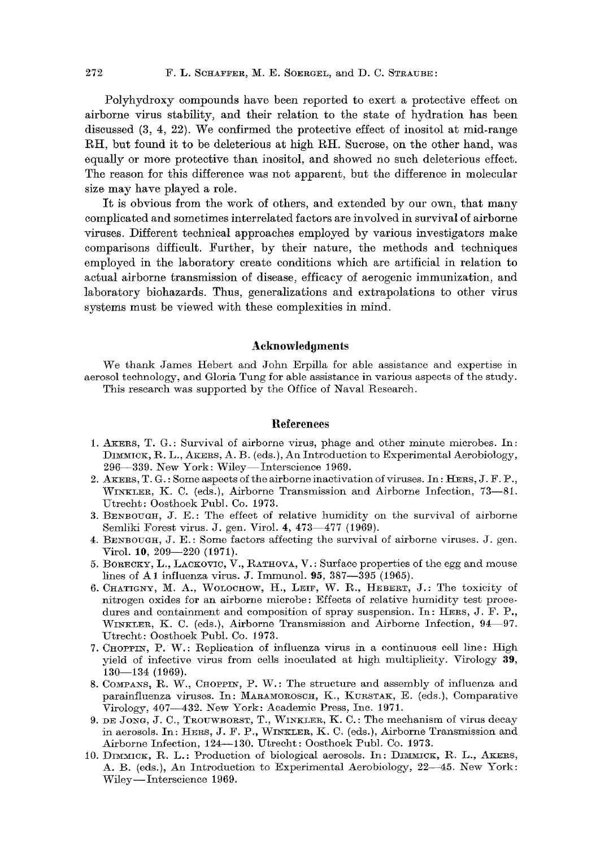Polyhydroxy compounds have been reported to exert a protective effect on airborne virus stability, and their relation to the state of hydration has been discussed (3, 4, 22). We confirmed the protective effect of inositol at mid-range RH, but found it to be deleterious at high RH. Sucrose, on the other hand, was equally or more protective than inositol, and showed no such deleterious effect. The reason for this difference was not apparent, but the difference in molecular size may have played a role.

It is obvious from the work of others, and extended by our own, that many complicated and sometimes interrelated factors are involved in survival of airborne viruses. Different technical approaches employed by various investigators make comparisons difficult. Further, by their nature, the methods and techniques employed in the laboratory create conditions which are artificial in relation to actual airborne transmission of disease, efficacy of aerogenic immunization, and laboratory biohazards. Thus, generalizations and extrapolations to other virus systems must be viewed with these complexities in mind.

# **Acknowledgments**

We thank James Itebert and John Erpilla for able assistance and expertise in aerosol technology, and Gloria Tung for able assistance in various aspects of the study. This research was supported by the Office of Naval Research.

### **References**

- 1. AKERS, T. G.: Survival of airborne virus, phage and other minute microbes. In: DIMMICK, R. L., AKERS, A. B. (eds.), An Introduction to Experimental Aerobiology, 296-339. New York: Wiley-Interscience 1969.
- 2.  $A$ KERS,  $T$ .  $G$ .: Some aspects of the airborne inactivation of viruses. In: HERS, J. F. P., WINKLER, K. C. (eds.), Airborne Transmission and Airborne Infection, 73-81. Utrecht : 0osthoek Publ. Co. 1973.
- 3. BENBOUGH, J. E.: The effect of relative humidity on the survival of airborne Semliki Forest virus. J. gen. Virol. 4, 473-477 (1969).
- 4. BENBOUGH, J. E. : Some factors affecting the survival of airborne viruses. J. gen. Virol. 10, 209-220 (1971).
- 5. BORECKY, L., LACKOVIC, V., RATHOVA, V.: Surface properties of the egg and mouse lines of A1 influenza virus. J. Immunol.  $95, 387-\overline{3}95$  (1965).
- 6. CHATIGNY, M. A., WOLOCHOW, H., LEIF, W. R., HEBERT, J.: The toxicity of nitrogen oxides for an airborne microbe: Effects of relative humidity test procedures and containment and composition of spray suspension. In: HERS, J. F. P., WINKLER, K. C. (eds.), Airborne Transmission and Airborne Infection, 94–97. Utrecht: Oosthoek Publ. Co. 1973.
- 7. CHOPPIN, P. W.: Replication of influenza virus in a continuous cell line: High yield of infective virus from ceils inoculated at high multiplicity. Virology 39, 130--134 (1969).
- 8. COMPANS, R. W., CHOPPIN, P. W.: The structure and assembly of influenza and parainfluenza viruses. In: MARAMOROSCH, K., KURSTAK, E. (eds.), Comparative Virology, 407--432. New York: Academic Press, Inc. t97t.
- 9. DE JONG, J. C., TROUWBORST, T., WINKLER, K. C.: The mechanism of virus decay in aerosols. In: HESS, J. F. P., WINKLES, K. C. (eds.), Airborne Transmission and Airborne Infection, 124-130. Utrecht: Oosthoek Publ. Co. 1973.
- 10. DIMMICK, R. L.: Production of biological aerosols. In: DIMMICK, R. L., AKERS, A. B. (eds.), An Introduction to Experimental Aerobiology, 22-45. New York: Wiley—Interscience 1969.